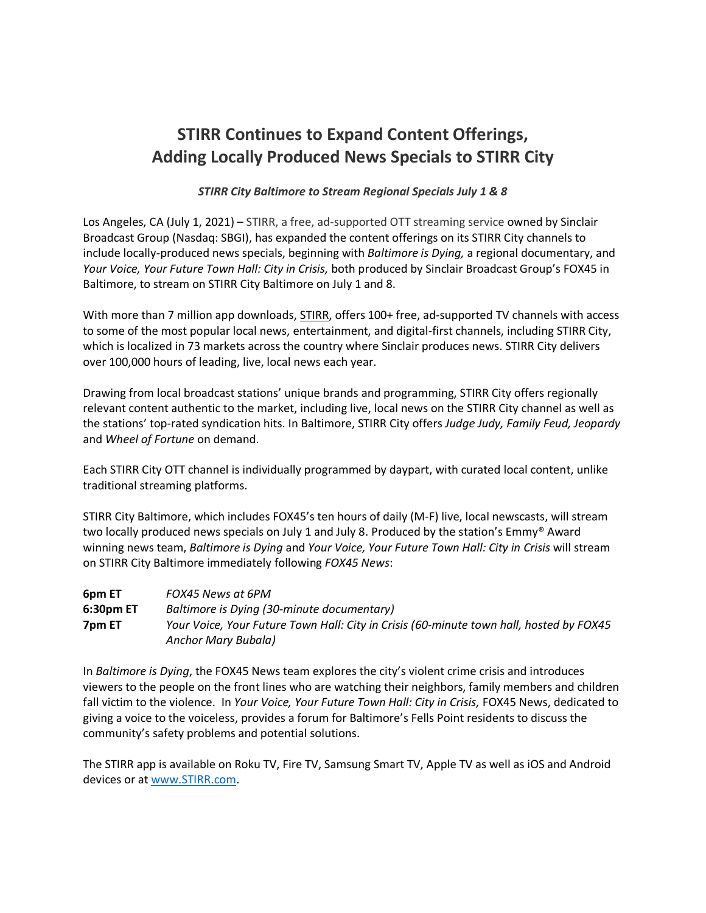# **STIRR Continues to Expand Content Offerings, Adding Locally Produced News Specials to STIRR City**

# *STIRR City Baltimore to Stream Regional Specials July 1 & 8*

Los Angeles, CA (July 1, 2021) – STIRR, a free, ad-supported OTT streaming service owned by Sinclair Broadcast Group (Nasdaq: SBGI), has expanded the content offerings on its STIRR City channels to include locally-produced news specials, beginning with *Baltimore is Dying,* a regional documentary, and *Your Voice, Your Future Town Hall: City in Crisis,* both produced by Sinclair Broadcast Group's FOX45 in Baltimore, to stream on STIRR City Baltimore on July 1 and 8.

With more than 7 million app downloads, [STIRR,](https://stirr.com/) offers 100+ free, ad-supported TV channels with access to some of the most popular local news, entertainment, and digital-first channels, including STIRR City, which is localized in 73 markets across the country where Sinclair produces news. STIRR City delivers over 100,000 hours of leading, live, local news each year.

Drawing from local broadcast stations' unique brands and programming, STIRR City offers regionally relevant content authentic to the market, including live, local news on the STIRR City channel as well as the stations' top-rated syndication hits. In Baltimore, STIRR City offers *Judge Judy, Family Feud, Jeopardy*  and *Wheel of Fortune* on demand.

Each STIRR City OTT channel is individually programmed by daypart, with curated local content, unlike traditional streaming platforms.

STIRR City Baltimore, which includes FOX45's ten hours of daily (M-F) live, local newscasts, will stream two locally produced news specials on July 1 and July 8. Produced by the station's Emmy® Award winning news team, *Baltimore is Dying* and *Your Voice, Your Future Town Hall: City in Crisis* will stream on STIRR City Baltimore immediately following *FOX45 News*:

| 6pm ET    | FOX45 News at 6PM                                                                       |
|-----------|-----------------------------------------------------------------------------------------|
| 6:30pm ET | Baltimore is Dying (30-minute documentary)                                              |
| 7pm ET    | Your Voice, Your Future Town Hall: City in Crisis (60-minute town hall, hosted by FOX45 |
|           | Anchor Mary Bubala)                                                                     |

In *Baltimore is Dying*, the FOX45 News team explores the city's violent crime crisis and introduces viewers to the people on the front lines who are watching their neighbors, family members and children fall victim to the violence. In *Your Voice, Your Future Town Hall: City in Crisis, FOX45 News, dedicated to* giving a voice to the voiceless, provides a forum for Baltimore's Fells Point residents to discuss the community's safety problems and potential solutions.

The STIRR app is available on Roku TV, Fire TV, Samsung Smart TV, Apple TV as well as iOS and Android devices or at [www.STIRR.com.](http://www.stirr.com/)